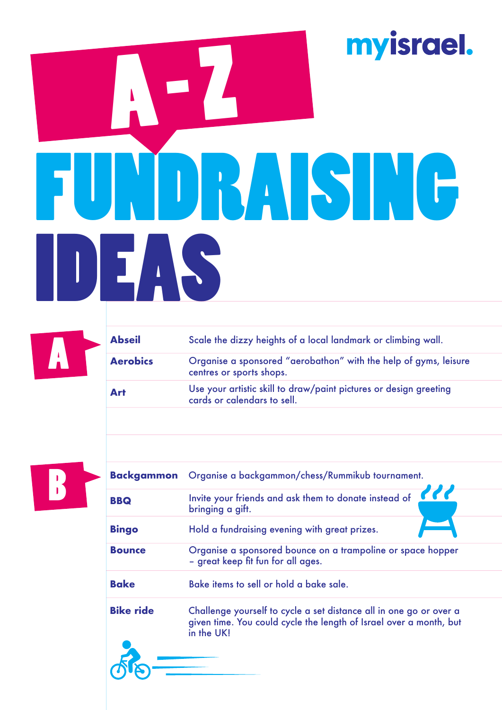## myisrael. A - Z FUNDRAISING IDEAS



| <b>Abseil</b>   | Scale the dizzy heights of a local landmark or climbing wall.                                    |
|-----------------|--------------------------------------------------------------------------------------------------|
| <b>Aerobics</b> | Organise a sponsored "aerobathon" with the help of gyms, leisure<br>centres or sports shops.     |
| Art             | Use your artistic skill to draw/paint pictures or design greeting<br>cards or calendars to sell. |
|                 |                                                                                                  |



| <b>Backgammon</b> | Organise a backgammon/chess/Rummikub tournament.                                                                                                       |  |
|-------------------|--------------------------------------------------------------------------------------------------------------------------------------------------------|--|
| <b>BBQ</b>        | Invite your friends and ask them to donate instead of<br>bringing a gift.                                                                              |  |
| <b>Bingo</b>      | Hold a fundraising evening with great prizes.                                                                                                          |  |
| <b>Bounce</b>     | Organise a sponsored bounce on a trampoline or space hopper<br>- great keep fit fun for all ages.                                                      |  |
| <b>Bake</b>       | Bake items to sell or hold a bake sale.                                                                                                                |  |
| <b>Bike ride</b>  | Challenge yourself to cycle a set distance all in one go or over a<br>given time. You could cycle the length of Israel over a month, but<br>in the UK! |  |
|                   |                                                                                                                                                        |  |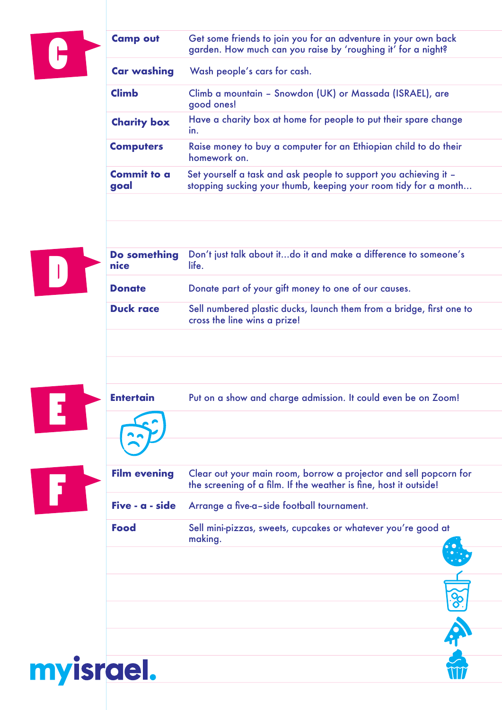

| <b>Camp out</b>            | Get some friends to join you for an adventure in your own back<br>garden. How much can you raise by 'roughing it' for a night?      |
|----------------------------|-------------------------------------------------------------------------------------------------------------------------------------|
| <b>Car washing</b>         | Wash people's cars for cash.                                                                                                        |
| <b>Climb</b>               | Climb a mountain - Snowdon (UK) or Massada (ISRAEL), are<br>good ones!                                                              |
| <b>Charity box</b>         | Have a charity box at home for people to put their spare change<br>in.                                                              |
| <b>Computers</b>           | Raise money to buy a computer for an Ethiopian child to do their<br>homework on.                                                    |
| <b>Commit to a</b><br>goal | Set yourself a task and ask people to support you achieving it -<br>stopping sucking your thumb, keeping your room tidy for a month |



| Do something<br>nice | Don't just talk about itdo it and make a difference to someone's<br>life.                            |
|----------------------|------------------------------------------------------------------------------------------------------|
| <b>Donate</b>        | Donate part of your gift money to one of our causes.                                                 |
| <b>Duck race</b>     | Sell numbered plastic ducks, launch them from a bridge, first one to<br>cross the line wins a prize! |
|                      |                                                                                                      |



|           | <b>Entertain</b>    | Put on a show and charge admission. It could even be on Zoom!                                                                          |
|-----------|---------------------|----------------------------------------------------------------------------------------------------------------------------------------|
|           |                     |                                                                                                                                        |
|           |                     |                                                                                                                                        |
| 47        | <b>Film evening</b> | Clear out your main room, borrow a projector and sell popcorn for<br>the screening of a film. If the weather is fine, host it outside! |
|           | Five - a - side     | Arrange a five-a-side football tournament.                                                                                             |
|           | <b>Food</b>         | Sell mini-pizzas, sweets, cupcakes or whatever you're good at<br>making.                                                               |
|           |                     |                                                                                                                                        |
|           |                     |                                                                                                                                        |
|           |                     |                                                                                                                                        |
|           |                     |                                                                                                                                        |
| myisrael. |                     |                                                                                                                                        |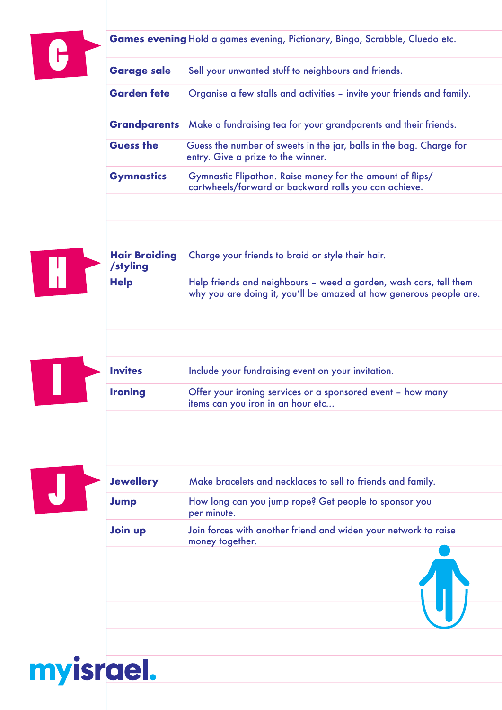|  |                                  | Games evening Hold a games evening, Pictionary, Bingo, Scrabble, Cluedo etc.                                                            |
|--|----------------------------------|-----------------------------------------------------------------------------------------------------------------------------------------|
|  | <b>Garage sale</b>               | Sell your unwanted stuff to neighbours and friends.                                                                                     |
|  | <b>Garden fete</b>               | Organise a few stalls and activities – invite your friends and family.                                                                  |
|  |                                  | <b>Grandparents</b> Make a fundraising tea for your grandparents and their friends.                                                     |
|  | <b>Guess the</b>                 | Guess the number of sweets in the jar, balls in the bag. Charge for<br>entry. Give a prize to the winner.                               |
|  | <b>Gymnastics</b>                | Gymnastic Flipathon. Raise money for the amount of flips/<br>cartwheels/forward or backward rolls you can achieve.                      |
|  |                                  |                                                                                                                                         |
|  |                                  |                                                                                                                                         |
|  | <b>Hair Braiding</b><br>/styling | Charge your friends to braid or style their hair.                                                                                       |
|  | <b>Help</b>                      | Help friends and neighbours - weed a garden, wash cars, tell them<br>why you are doing it, you'll be amazed at how generous people are. |
|  |                                  |                                                                                                                                         |
|  |                                  |                                                                                                                                         |
|  | <b>Invites</b>                   | Include your fundraising event on your invitation.                                                                                      |
|  | <b>Ironing</b>                   | Offer your ironing services or a sponsored event - how many<br>items can you iron in an hour etc                                        |
|  |                                  |                                                                                                                                         |
|  |                                  |                                                                                                                                         |
|  | <b>Jewellery</b>                 | Make bracelets and necklaces to sell to friends and family.                                                                             |
|  | Jump                             | How long can you jump rope? Get people to sponsor you<br>per minute.                                                                    |
|  | Join up                          | Join forces with another friend and widen your network to raise<br>money together.                                                      |
|  |                                  |                                                                                                                                         |
|  |                                  |                                                                                                                                         |
|  |                                  |                                                                                                                                         |

## myisrael.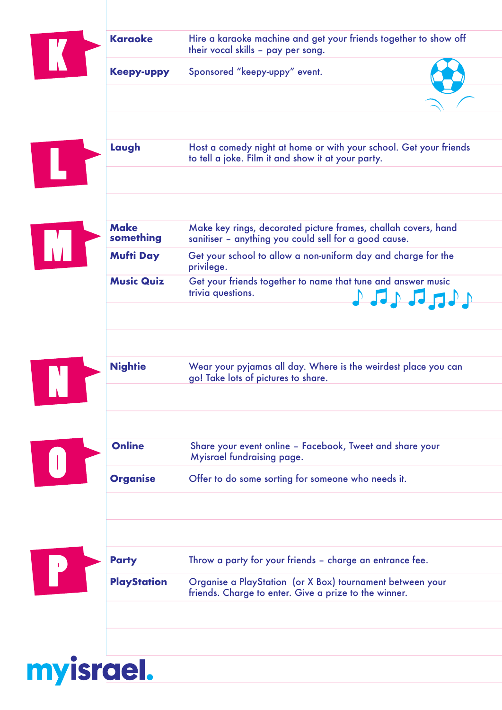|                                                   | <b>Karaoke</b>           | Hire a karaoke machine and get your friends together to show off<br>their vocal skills - pay per song.                                                                                                                                                                                                                                                                                                                                   |
|---------------------------------------------------|--------------------------|------------------------------------------------------------------------------------------------------------------------------------------------------------------------------------------------------------------------------------------------------------------------------------------------------------------------------------------------------------------------------------------------------------------------------------------|
|                                                   | <b>Keepy-uppy</b>        | Sponsored "keepy-uppy" event.                                                                                                                                                                                                                                                                                                                                                                                                            |
|                                                   |                          |                                                                                                                                                                                                                                                                                                                                                                                                                                          |
|                                                   |                          |                                                                                                                                                                                                                                                                                                                                                                                                                                          |
|                                                   | Laugh                    | Host a comedy night at home or with your school. Get your friends<br>to tell a joke. Film it and show it at your party.                                                                                                                                                                                                                                                                                                                  |
|                                                   |                          |                                                                                                                                                                                                                                                                                                                                                                                                                                          |
|                                                   | <b>Make</b><br>something | Make key rings, decorated picture frames, challah covers, hand<br>sanitiser - anything you could sell for a good cause.                                                                                                                                                                                                                                                                                                                  |
|                                                   | <b>Mufti Day</b>         | Get your school to allow a non-uniform day and charge for the<br>privilege.                                                                                                                                                                                                                                                                                                                                                              |
|                                                   | <b>Music Quiz</b>        | Get your friends together to name that tune and answer music<br>trivia questions.<br>$\begin{picture}(180,10) \put(0,0){\line(1,0){10}} \put(10,0){\line(1,0){10}} \put(10,0){\line(1,0){10}} \put(10,0){\line(1,0){10}} \put(10,0){\line(1,0){10}} \put(10,0){\line(1,0){10}} \put(10,0){\line(1,0){10}} \put(10,0){\line(1,0){10}} \put(10,0){\line(1,0){10}} \put(10,0){\line(1,0){10}} \put(10,0){\line(1,0){10}} \put(10,0){\line($ |
|                                                   |                          |                                                                                                                                                                                                                                                                                                                                                                                                                                          |
|                                                   | <b>Nightie</b>           | Wear your pyjamas all day. Where is the weirdest place you can<br>go! Take lots of pictures to share.                                                                                                                                                                                                                                                                                                                                    |
|                                                   |                          |                                                                                                                                                                                                                                                                                                                                                                                                                                          |
| $\begin{array}{c} \bullet \\ \bullet \end{array}$ | <b>Online</b>            | Share your event online - Facebook, Tweet and share your<br>Myisrael fundraising page.                                                                                                                                                                                                                                                                                                                                                   |
|                                                   | <b>Organise</b>          | Offer to do some sorting for someone who needs it.                                                                                                                                                                                                                                                                                                                                                                                       |
|                                                   |                          |                                                                                                                                                                                                                                                                                                                                                                                                                                          |
| P                                                 | <b>Party</b>             | Throw a party for your friends - charge an entrance fee.                                                                                                                                                                                                                                                                                                                                                                                 |
|                                                   | <b>PlayStation</b>       | Organise a PlayStation (or X Box) tournament between your<br>friends. Charge to enter. Give a prize to the winner.                                                                                                                                                                                                                                                                                                                       |
|                                                   |                          |                                                                                                                                                                                                                                                                                                                                                                                                                                          |
|                                                   |                          |                                                                                                                                                                                                                                                                                                                                                                                                                                          |

myisrael.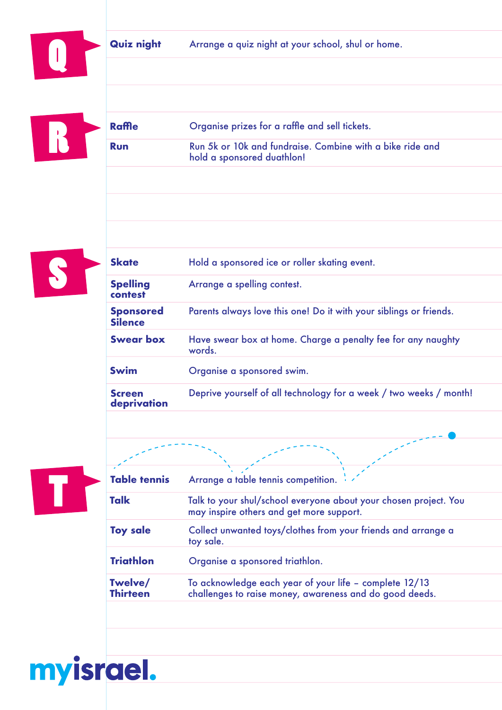Quiz night Arrange a quiz night at your school, shul or home.

|  | <b>Raffle</b> | Organise prizes for a raffle and sell tickets.                                          |
|--|---------------|-----------------------------------------------------------------------------------------|
|  | <b>Run</b>    | Run 5k or 10k and fundraise. Combine with a bike ride and<br>hold a sponsored duathlon! |



|  | <b>Skate</b>                       | Hold a sponsored ice or roller skating event.                          |
|--|------------------------------------|------------------------------------------------------------------------|
|  | <b>Spelling</b><br>contest         | Arrange a spelling contest.                                            |
|  | <b>Sponsored</b><br><b>Silence</b> | Parents always love this one! Do it with your siblings or friends.     |
|  | <b>Swear box</b>                   | Have swear box at home. Charge a penalty fee for any naughty<br>words. |
|  | <b>Swim</b>                        | Organise a sponsored swim.                                             |
|  | <b>Screen</b><br>deprivation       | Deprive yourself of all technology for a week / two weeks / month!     |



myisrael.

| <b>Table tennis</b>        | Arrange a table tennis competition.                                                                               |
|----------------------------|-------------------------------------------------------------------------------------------------------------------|
| <b>Talk</b>                | Talk to your shul/school everyone about your chosen project. You<br>may inspire others and get more support.      |
| <b>Toy sale</b>            | Collect unwanted toys/clothes from your friends and arrange a<br>toy sale.                                        |
| <b>Triathlon</b>           | Organise a sponsored triathlon.                                                                                   |
| Twelve/<br><b>Thirteen</b> | To acknowledge each year of your life - complete 12/13<br>challenges to raise money, awareness and do good deeds. |
|                            |                                                                                                                   |

 $\mathbb{R}^2$